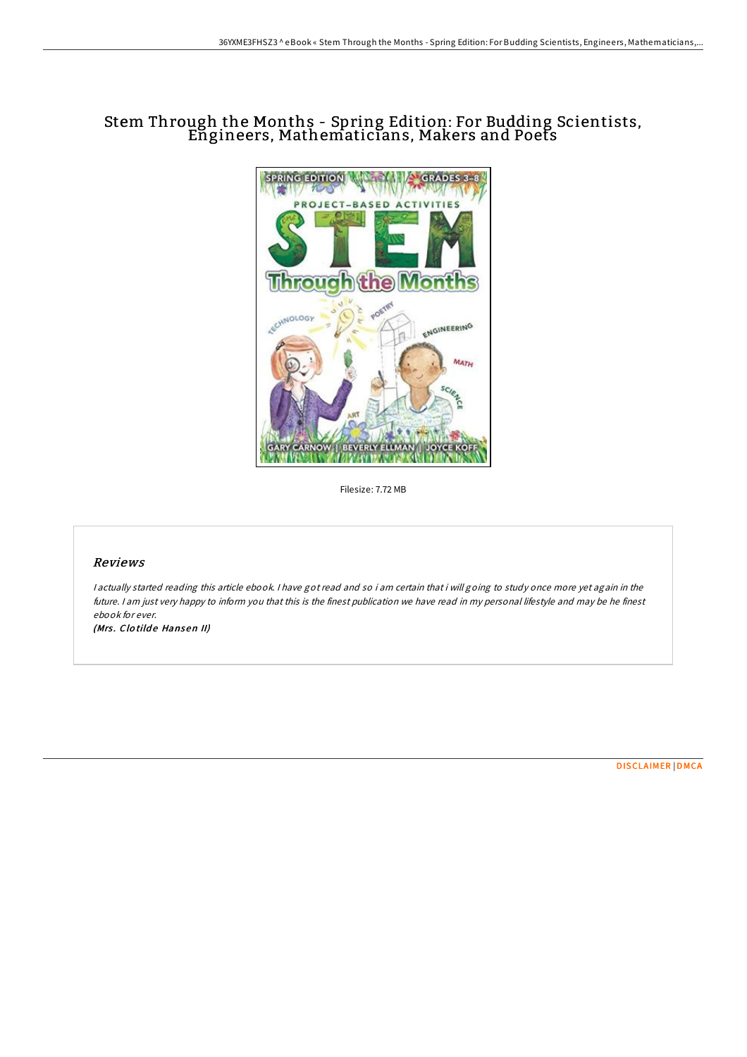## Stem Through the Months - Spring Edition: For Budding Scientists, Engineers, Mathematicians, Makers and Poets



Filesize: 7.72 MB

## Reviews

I actually started reading this article ebook. I have got read and so i am certain that i will going to study once more yet again in the future. I am just very happy to inform you that this is the finest publication we have read in my personal lifestyle and may be he finest ebook for ever.

(Mrs. Clotilde Hansen II)

[DISCLAIMER](http://almighty24.tech/disclaimer.html) | [DMCA](http://almighty24.tech/dmca.html)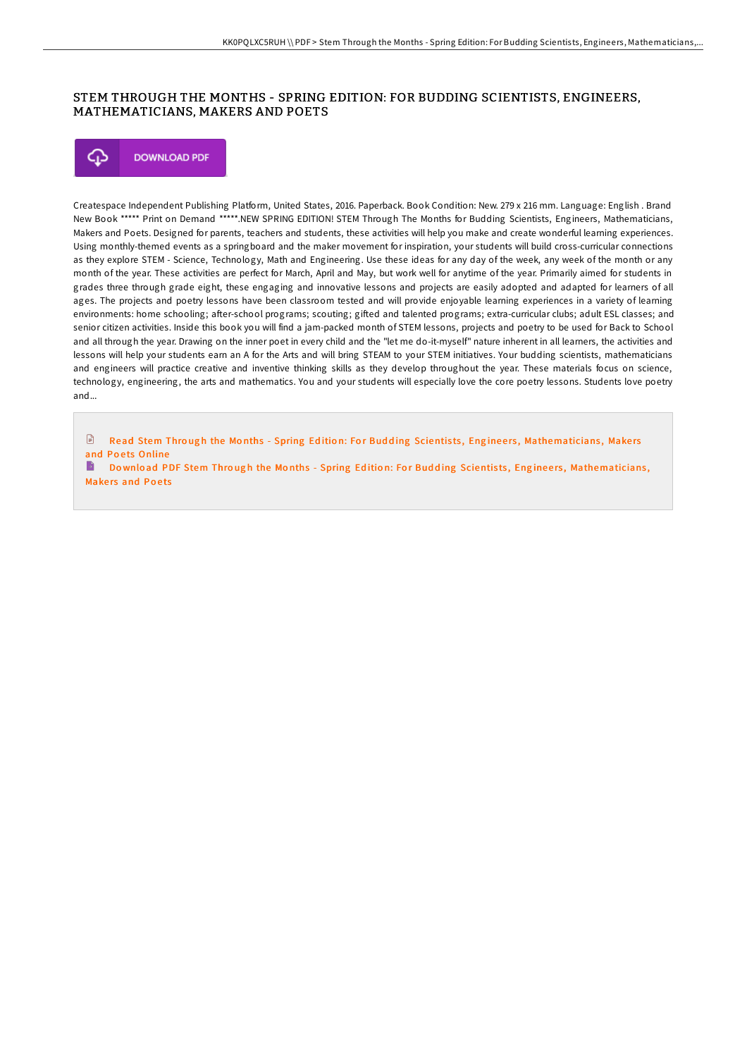## STEM THROUGH THE MONTHS - SPRING EDITION: FOR BUDDING SCIENTISTS, ENGINEERS, MATHEMATICIANS, MAKERS AND POETS



Createspace Independent Publishing Platform, United States, 2016. Paperback. Book Condition: New. 279 x 216 mm. Language: English . Brand New Book \*\*\*\*\* Print on Demand \*\*\*\*\*.NEW SPRING EDITION! STEM Through The Months for Budding Scientists, Engineers, Mathematicians, Makers and Poets. Designed for parents, teachers and students, these activities will help you make and create wonderful learning experiences. Using monthly-themed events as a springboard and the maker movement for inspiration, your students will build cross-curricular connections as they explore STEM - Science, Technology, Math and Engineering. Use these ideas for any day of the week, any week of the month or any month of the year. These activities are perfect for March, April and May, but work well for anytime of the year. Primarily aimed for students in grades three through grade eight, these engaging and innovative lessons and projects are easily adopted and adapted for learners of all ages. The projects and poetry lessons have been classroom tested and will provide enjoyable learning experiences in a variety of learning environments: home schooling; after-school programs; scouting; gifted and talented programs; extra-curricular clubs; adult ESL classes; and senior citizen activities. Inside this book you will find a jam-packed month of STEM lessons, projects and poetry to be used for Back to School and all through the year. Drawing on the inner poet in every child and the "let me do-it-myself" nature inherent in all learners, the activities and lessons will help your students earn an A for the Arts and will bring STEAM to your STEM initiatives. Your budding scientists, mathematicians and engineers will practice creative and inventive thinking skills as they develop throughout the year. These materials focus on science, technology, engineering, the arts and mathematics. You and your students will especially love the core poetry lessons. Students love poetry and...

 $\Box$ Read Stem Through the Months - Spring Edition: For Budding Scientists, Engineers, [Mathematicians](http://almighty24.tech/stem-through-the-months-spring-edition-for-buddi.html), Makers and Poets Online

Do wnload PDF Stem Through the Months - Spring Edition: For Budding Scientists, Engineers, [Mathematicians](http://almighty24.tech/stem-through-the-months-spring-edition-for-buddi.html), Makers and Poets